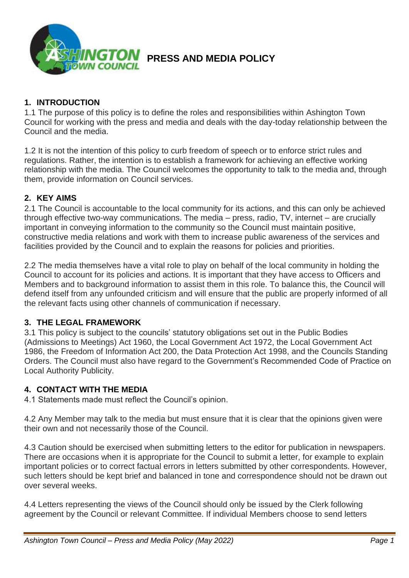

### **1. INTRODUCTION**

1.1 The purpose of this policy is to define the roles and responsibilities within Ashington Town Council for working with the press and media and deals with the day-today relationship between the Council and the media.

1.2 It is not the intention of this policy to curb freedom of speech or to enforce strict rules and regulations. Rather, the intention is to establish a framework for achieving an effective working relationship with the media. The Council welcomes the opportunity to talk to the media and, through them, provide information on Council services.

## **2. KEY AIMS**

2.1 The Council is accountable to the local community for its actions, and this can only be achieved through effective two-way communications. The media – press, radio, TV, internet – are crucially important in conveying information to the community so the Council must maintain positive, constructive media relations and work with them to increase public awareness of the services and facilities provided by the Council and to explain the reasons for policies and priorities.

2.2 The media themselves have a vital role to play on behalf of the local community in holding the Council to account for its policies and actions. It is important that they have access to Officers and Members and to background information to assist them in this role. To balance this, the Council will defend itself from any unfounded criticism and will ensure that the public are properly informed of all the relevant facts using other channels of communication if necessary.

### **3. THE LEGAL FRAMEWORK**

3.1 This policy is subject to the councils' statutory obligations set out in the Public Bodies (Admissions to Meetings) Act 1960, the Local Government Act 1972, the Local Government Act 1986, the Freedom of Information Act 200, the Data Protection Act 1998, and the Councils Standing Orders. The Council must also have regard to the Government's Recommended Code of Practice on Local Authority Publicity.

### **4. CONTACT WITH THE MEDIA**

4.1 Statements made must reflect the Council's opinion.

4.2 Any Member may talk to the media but must ensure that it is clear that the opinions given were their own and not necessarily those of the Council.

4.3 Caution should be exercised when submitting letters to the editor for publication in newspapers. There are occasions when it is appropriate for the Council to submit a letter, for example to explain important policies or to correct factual errors in letters submitted by other correspondents. However, such letters should be kept brief and balanced in tone and correspondence should not be drawn out over several weeks.

4.4 Letters representing the views of the Council should only be issued by the Clerk following agreement by the Council or relevant Committee. If individual Members choose to send letters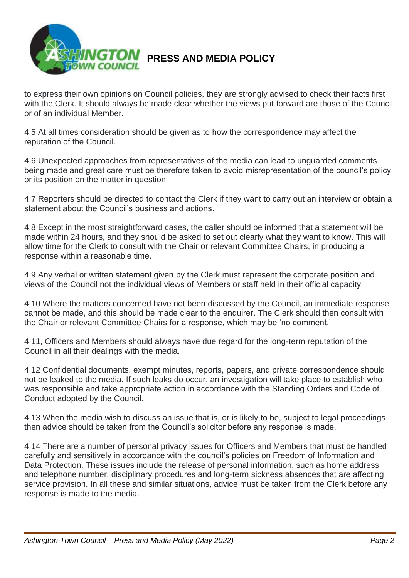

to express their own opinions on Council policies, they are strongly advised to check their facts first with the Clerk. It should always be made clear whether the views put forward are those of the Council or of an individual Member.

4.5 At all times consideration should be given as to how the correspondence may affect the reputation of the Council.

4.6 Unexpected approaches from representatives of the media can lead to unguarded comments being made and great care must be therefore taken to avoid misrepresentation of the council's policy or its position on the matter in question.

4.7 Reporters should be directed to contact the Clerk if they want to carry out an interview or obtain a statement about the Council's business and actions.

4.8 Except in the most straightforward cases, the caller should be informed that a statement will be made within 24 hours, and they should be asked to set out clearly what they want to know. This will allow time for the Clerk to consult with the Chair or relevant Committee Chairs, in producing a response within a reasonable time.

4.9 Any verbal or written statement given by the Clerk must represent the corporate position and views of the Council not the individual views of Members or staff held in their official capacity.

4.10 Where the matters concerned have not been discussed by the Council, an immediate response cannot be made, and this should be made clear to the enquirer. The Clerk should then consult with the Chair or relevant Committee Chairs for a response, which may be 'no comment.'

4.11, Officers and Members should always have due regard for the long-term reputation of the Council in all their dealings with the media.

4.12 Confidential documents, exempt minutes, reports, papers, and private correspondence should not be leaked to the media. If such leaks do occur, an investigation will take place to establish who was responsible and take appropriate action in accordance with the Standing Orders and Code of Conduct adopted by the Council.

4.13 When the media wish to discuss an issue that is, or is likely to be, subject to legal proceedings then advice should be taken from the Council's solicitor before any response is made.

4.14 There are a number of personal privacy issues for Officers and Members that must be handled carefully and sensitively in accordance with the council's policies on Freedom of Information and Data Protection. These issues include the release of personal information, such as home address and telephone number, disciplinary procedures and long-term sickness absences that are affecting service provision. In all these and similar situations, advice must be taken from the Clerk before any response is made to the media.